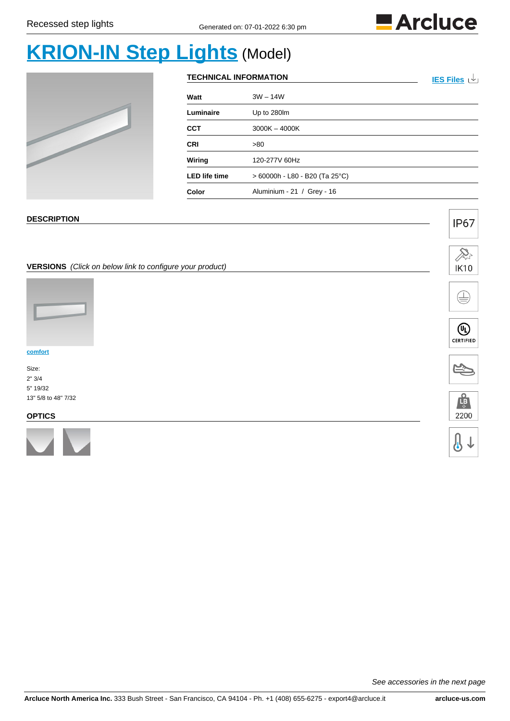

# **[KRION-IN Step Lights](https://www.arcluce-us.com/model/KRION-INStepLights/36/931)** (Model)



| <b>TECHNICAL INFORMATION</b> | IES Files 山                      |  |
|------------------------------|----------------------------------|--|
| Watt                         | $3W - 14W$                       |  |
| Luminaire                    | Up to 280lm                      |  |
| <b>CCT</b>                   | $3000K - 4000K$                  |  |
| <b>CRI</b>                   | >80                              |  |
| Wiring                       | 120-277V 60Hz                    |  |
| <b>LED life time</b>         | $> 60000h - L80 - B20$ (Ta 25°C) |  |
| Color                        | Aluminium - 21 / Grey - 16       |  |

#### **DESCRIPTION**

#### **VERSIONS** (Click on below link to configure your product)



**[comfort](https://www.arcluce-us.com/group/comfort/36/931/3783#products)**

Size: 2" 3/4 5" 19/32 13" 5/8 to 48" 7/32

#### **OPTICS**





 $\bigoplus$ 

**IP67** 









See accessories in the next page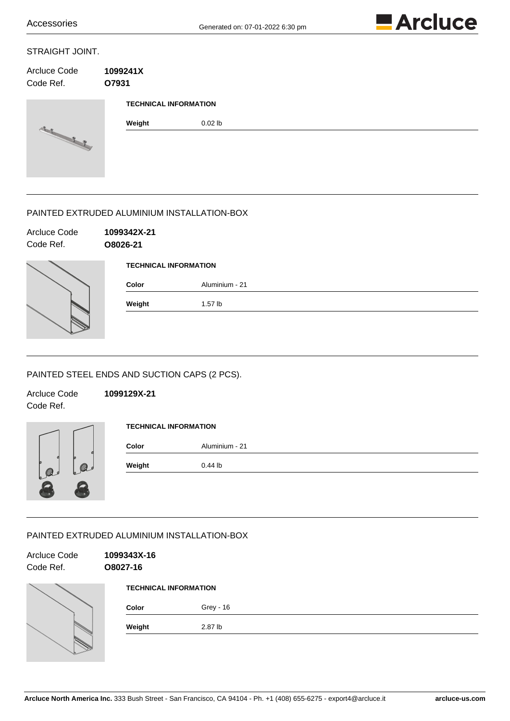

#### STRAIGHT JOINT.

| Arcluce Code<br>Code Ref. | 1099241X<br>O7931            |           |  |  |
|---------------------------|------------------------------|-----------|--|--|
|                           | <b>TECHNICAL INFORMATION</b> |           |  |  |
| Si Rich                   | Weight                       | $0.02$ lb |  |  |

# PAINTED EXTRUDED ALUMINIUM INSTALLATION-BOX

| Arcluce Code<br>Code Ref. | 1099342X-21<br>O8026-21      |                |
|---------------------------|------------------------------|----------------|
|                           | <b>TECHNICAL INFORMATION</b> |                |
|                           | Color                        | Aluminium - 21 |
|                           | Weight                       | $1.57$ lb      |

# PAINTED STEEL ENDS AND SUCTION CAPS (2 PCS).

Code Ref.

Arcluce Code **1099129X-21**



- 198

| <b>TECHNICAL INFORMATION</b> |                |  |  |
|------------------------------|----------------|--|--|
| Color                        | Aluminium - 21 |  |  |
| Weight                       | $0.44$ lb      |  |  |
|                              |                |  |  |

#### PAINTED EXTRUDED ALUMINIUM INSTALLATION-BOX

| Arcluce Code<br>Code Ref. | 1099343X-16<br>O8027-16      |           |  |
|---------------------------|------------------------------|-----------|--|
|                           | <b>TECHNICAL INFORMATION</b> |           |  |
|                           | Color                        | Grey - 16 |  |
|                           | Weight                       | 2.87 lb   |  |
|                           |                              |           |  |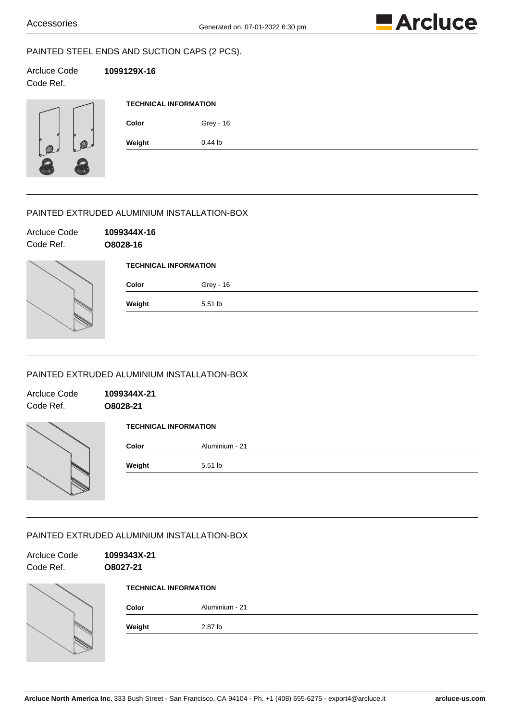

# PAINTED STEEL ENDS AND SUCTION CAPS (2 PCS).

Arcluce Code **1099129X-16** Code Ref.

| é      | ۵<br>Q, |
|--------|---------|
| ø<br>Ó | ö       |
|        |         |

| Grey - 16 |  |  |
|-----------|--|--|
| $0.44$ lb |  |  |
|           |  |  |

# PAINTED EXTRUDED ALUMINIUM INSTALLATION-BOX

| Arcluce Code<br>Code Ref. | 1099344X-16<br>O8028-16 |                              |  |  |
|---------------------------|-------------------------|------------------------------|--|--|
|                           |                         | <b>TECHNICAL INFORMATION</b> |  |  |
|                           | Color                   | Grey - 16                    |  |  |
|                           | Weight                  | 5.51 lb                      |  |  |

#### PAINTED EXTRUDED ALUMINIUM INSTALLATION-BOX

| Arcluce Code<br>Code Ref. | 1099344X-21<br>O8028-21      |                |
|---------------------------|------------------------------|----------------|
|                           | <b>TECHNICAL INFORMATION</b> |                |
|                           | Color                        | Aluminium - 21 |
|                           | Weight                       | 5.51 lb        |

#### PAINTED EXTRUDED ALUMINIUM INSTALLATION-BOX

 $|\gg$ 

| Arcluce Code<br>Code Ref. | 1099343X-21<br>O8027-21      |                |  |
|---------------------------|------------------------------|----------------|--|
|                           | <b>TECHNICAL INFORMATION</b> |                |  |
|                           | Color                        | Aluminium - 21 |  |
|                           | Weight                       | 2.87 lb        |  |